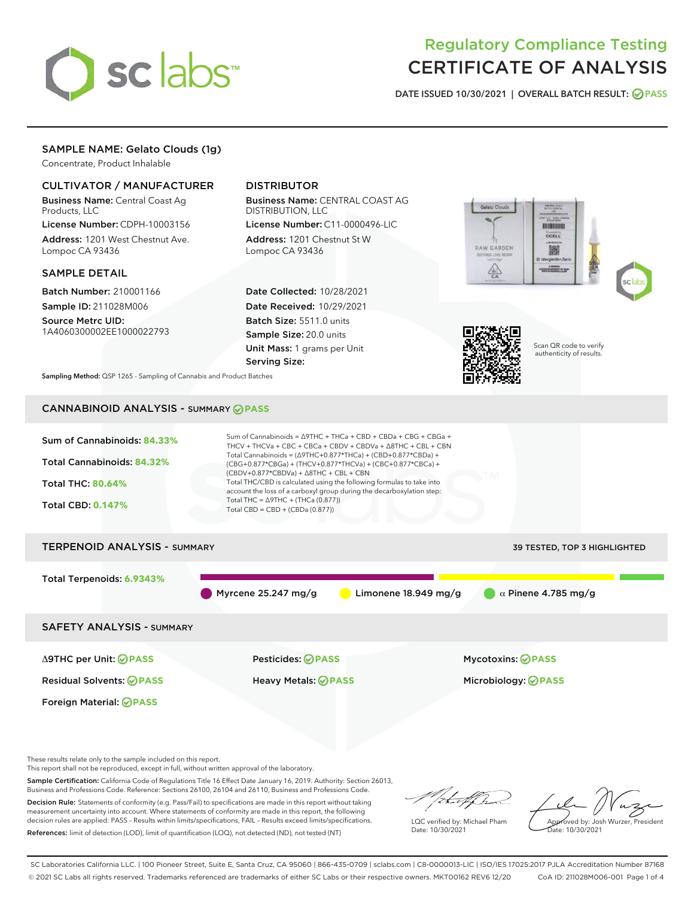

# Regulatory Compliance Testing CERTIFICATE OF ANALYSIS

DATE ISSUED 10/30/2021 | OVERALL BATCH RESULT: @ PASS

## SAMPLE NAME: Gelato Clouds (1g)

Concentrate, Product Inhalable

## CULTIVATOR / MANUFACTURER

Business Name: Central Coast Ag Products, LLC

License Number: CDPH-10003156 Address: 1201 West Chestnut Ave. Lompoc CA 93436

#### SAMPLE DETAIL

Batch Number: 210001166 Sample ID: 211028M006

Source Metrc UID: 1A4060300002EE1000022793

## DISTRIBUTOR

Business Name: CENTRAL COAST AG DISTRIBUTION, LLC

License Number: C11-0000496-LIC Address: 1201 Chestnut St W Lompoc CA 93436

Date Collected: 10/28/2021 Date Received: 10/29/2021 Batch Size: 5511.0 units Sample Size: 20.0 units Unit Mass: 1 grams per Unit Serving Size:





Scan QR code to verify authenticity of results.

Sampling Method: QSP 1265 - Sampling of Cannabis and Product Batches

## CANNABINOID ANALYSIS - SUMMARY **PASS**



This report shall not be reproduced, except in full, without written approval of the laboratory.

Sample Certification: California Code of Regulations Title 16 Effect Date January 16, 2019. Authority: Section 26013, Business and Professions Code. Reference: Sections 26100, 26104 and 26110, Business and Professions Code.

Decision Rule: Statements of conformity (e.g. Pass/Fail) to specifications are made in this report without taking measurement uncertainty into account. Where statements of conformity are made in this report, the following decision rules are applied: PASS – Results within limits/specifications, FAIL – Results exceed limits/specifications. References: limit of detection (LOD), limit of quantification (LOQ), not detected (ND), not tested (NT)

that f(ha

LQC verified by: Michael Pham Date: 10/30/2021

Approved by: Josh Wurzer, President Date: 10/30/2021

SC Laboratories California LLC. | 100 Pioneer Street, Suite E, Santa Cruz, CA 95060 | 866-435-0709 | sclabs.com | C8-0000013-LIC | ISO/IES 17025:2017 PJLA Accreditation Number 87168 © 2021 SC Labs all rights reserved. Trademarks referenced are trademarks of either SC Labs or their respective owners. MKT00162 REV6 12/20 CoA ID: 211028M006-001 Page 1 of 4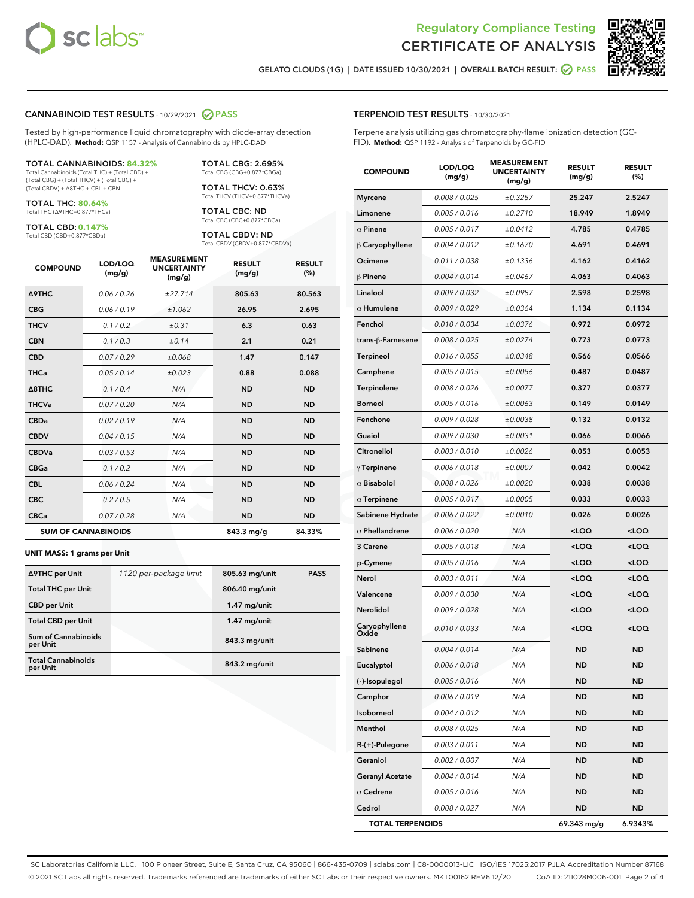



GELATO CLOUDS (1G) | DATE ISSUED 10/30/2021 | OVERALL BATCH RESULT: 2 PASS

#### CANNABINOID TEST RESULTS - 10/29/2021 2 PASS

Tested by high-performance liquid chromatography with diode-array detection (HPLC-DAD). **Method:** QSP 1157 - Analysis of Cannabinoids by HPLC-DAD

#### TOTAL CANNABINOIDS: **84.32%**

Total Cannabinoids (Total THC) + (Total CBD) + (Total CBG) + (Total THCV) + (Total CBC) + (Total CBDV) + ∆8THC + CBL + CBN

TOTAL THC: **80.64%** Total THC (∆9THC+0.877\*THCa)

TOTAL CBD: **0.147%**

Total CBD (CBD+0.877\*CBDa)

TOTAL CBG: 2.695% Total CBG (CBG+0.877\*CBGa)

TOTAL THCV: 0.63% Total THCV (THCV+0.877\*THCVa)

TOTAL CBC: ND Total CBC (CBC+0.877\*CBCa)

TOTAL CBDV: ND Total CBDV (CBDV+0.877\*CBDVa)

| <b>COMPOUND</b>            | LOD/LOQ<br>(mg/g) | <b>MEASUREMENT</b><br><b>UNCERTAINTY</b><br>(mg/g) | <b>RESULT</b><br>(mg/g) | <b>RESULT</b><br>(%) |
|----------------------------|-------------------|----------------------------------------------------|-------------------------|----------------------|
| <b>A9THC</b>               | 0.06 / 0.26       | ±27.714                                            | 805.63                  | 80.563               |
| <b>CBG</b>                 | 0.06/0.19         | ±1.062                                             | 26.95                   | 2.695                |
| <b>THCV</b>                | 0.1 / 0.2         | ±0.31                                              | 6.3                     | 0.63                 |
| <b>CBN</b>                 | 0.1/0.3           | ±0.14                                              | 2.1                     | 0.21                 |
| <b>CBD</b>                 | 0.07/0.29         | ±0.068                                             | 1.47                    | 0.147                |
| <b>THCa</b>                | 0.05 / 0.14       | ±0.023                                             | 0.88                    | 0.088                |
| $\triangle$ 8THC           | 0.1/0.4           | N/A                                                | <b>ND</b>               | <b>ND</b>            |
| <b>THCVa</b>               | 0.07/0.20         | N/A                                                | <b>ND</b>               | <b>ND</b>            |
| <b>CBDa</b>                | 0.02/0.19         | N/A                                                | <b>ND</b>               | <b>ND</b>            |
| <b>CBDV</b>                | 0.04 / 0.15       | N/A                                                | <b>ND</b>               | <b>ND</b>            |
| <b>CBDVa</b>               | 0.03/0.53         | N/A                                                | <b>ND</b>               | <b>ND</b>            |
| <b>CBGa</b>                | 0.1 / 0.2         | N/A                                                | <b>ND</b>               | <b>ND</b>            |
| <b>CBL</b>                 | 0.06 / 0.24       | N/A                                                | <b>ND</b>               | <b>ND</b>            |
| <b>CBC</b>                 | 0.2 / 0.5         | N/A                                                | <b>ND</b>               | <b>ND</b>            |
| <b>CBCa</b>                | 0.07/0.28         | N/A                                                | <b>ND</b>               | <b>ND</b>            |
| <b>SUM OF CANNABINOIDS</b> |                   |                                                    | 843.3 mg/g              | 84.33%               |

#### **UNIT MASS: 1 grams per Unit**

| ∆9THC per Unit                        | 1120 per-package limit | 805.63 mg/unit | <b>PASS</b> |
|---------------------------------------|------------------------|----------------|-------------|
| <b>Total THC per Unit</b>             |                        | 806.40 mg/unit |             |
| <b>CBD</b> per Unit                   |                        | $1.47$ mg/unit |             |
| <b>Total CBD per Unit</b>             |                        | $1.47$ mg/unit |             |
| Sum of Cannabinoids<br>per Unit       |                        | 843.3 mg/unit  |             |
| <b>Total Cannabinoids</b><br>per Unit |                        | 843.2 mg/unit  |             |

| <b>COMPOUND</b>                     | LOD/LOQ<br>(mg/g) | <b>MEASUREMENT</b><br><b>UNCERTAINTY</b><br>(mg/g) | <b>RESULT</b><br>(mg/g)                         | <b>RESULT</b><br>(%) |
|-------------------------------------|-------------------|----------------------------------------------------|-------------------------------------------------|----------------------|
| <b>Myrcene</b>                      | 0.008 / 0.025     | ±0.3257                                            | 25.247                                          | 2.5247               |
| Limonene                            | 0.005 / 0.016     | ±0.2710                                            | 18.949                                          | 1.8949               |
| $\alpha$ Pinene                     | 0.005 / 0.017     | ±0.0412                                            | 4.785                                           | 0.4785               |
| $\upbeta$ Caryophyllene             | 0.004 / 0.012     | ±0.1670                                            | 4.691                                           | 0.4691               |
| Ocimene                             | 0.011 / 0.038     | ±0.1336                                            | 4.162                                           | 0.4162               |
| $\beta$ Pinene                      | 0.004 / 0.014     | ±0.0467                                            | 4.063                                           | 0.4063               |
| Linalool                            | 0.009 / 0.032     | ±0.0987                                            | 2.598                                           | 0.2598               |
| $\alpha$ Humulene                   | 0.009/0.029       | ±0.0364                                            | 1.134                                           | 0.1134               |
| Fenchol                             | 0.010 / 0.034     | ±0.0376                                            | 0.972                                           | 0.0972               |
| trans-ß-Farnesene                   | 0.008 / 0.025     | ±0.0274                                            | 0.773                                           | 0.0773               |
| Terpineol                           | 0.016 / 0.055     | ±0.0348                                            | 0.566                                           | 0.0566               |
| Camphene                            | 0.005 / 0.015     | ±0.0056                                            | 0.487                                           | 0.0487               |
| Terpinolene                         | 0.008 / 0.026     | ±0.0077                                            | 0.377                                           | 0.0377               |
| <b>Borneol</b>                      | 0.005 / 0.016     | ±0.0063                                            | 0.149                                           | 0.0149               |
| Fenchone                            | 0.009 / 0.028     | ±0.0038                                            | 0.132                                           | 0.0132               |
| Guaiol                              | 0.009 / 0.030     | ±0.0031                                            | 0.066                                           | 0.0066               |
| Citronellol                         | 0.003 / 0.010     | ±0.0026                                            | 0.053                                           | 0.0053               |
| $\gamma$ Terpinene                  | 0.006 / 0.018     | ±0.0007                                            | 0.042                                           | 0.0042               |
| $\alpha$ Bisabolol                  | 0.008 / 0.026     | ±0.0020                                            | 0.038                                           | 0.0038               |
| $\alpha$ Terpinene                  | 0.005 / 0.017     | ±0.0005                                            | 0.033                                           | 0.0033               |
| Sabinene Hydrate                    | 0.006 / 0.022     | ±0.0010                                            | 0.026                                           | 0.0026               |
| $\alpha$ Phellandrene               | 0.006 / 0.020     | N/A                                                | <loq< th=""><th><loq< th=""></loq<></th></loq<> | <loq< th=""></loq<>  |
| 3 Carene                            | 0.005 / 0.018     | N/A                                                | <loq< th=""><th><loq< th=""></loq<></th></loq<> | <loq< th=""></loq<>  |
| p-Cymene                            | 0.005 / 0.016     | N/A                                                | <loq< th=""><th><loq< th=""></loq<></th></loq<> | <loq< th=""></loq<>  |
| Nerol                               | 0.003 / 0.011     | N/A                                                | <loq< th=""><th><loq< th=""></loq<></th></loq<> | <loq< th=""></loq<>  |
| Valencene                           | 0.009 / 0.030     | N/A                                                | <loq< th=""><th><loq< th=""></loq<></th></loq<> | <loq< th=""></loq<>  |
| <b>Nerolidol</b>                    | 0.009/0.028       | N/A                                                | <loq< th=""><th><loq< th=""></loq<></th></loq<> | <loq< th=""></loq<>  |
| Caryophyllene<br>Oxide <sup>'</sup> | 0.010 / 0.033     | N/A                                                | <loq< th=""><th><loq< th=""></loq<></th></loq<> | <loq< th=""></loq<>  |
| Sabinene                            | 0.004 / 0.014     | N/A                                                | <b>ND</b>                                       | ND                   |
| Eucalyptol                          | 0.006 / 0.018     | N/A                                                | ND                                              | ND                   |
| (-)-Isopulegol                      | 0.005 / 0.016     | N/A                                                | ND                                              | ND                   |
| Camphor                             | 0.006 / 0.019     | N/A                                                | ND                                              | ND                   |
| Isoborneol                          | 0.004 / 0.012     | N/A                                                | ND                                              | ND                   |
| Menthol                             | 0.008 / 0.025     | N/A                                                | <b>ND</b>                                       | ND                   |
| R-(+)-Pulegone                      | 0.003 / 0.011     | N/A                                                | ND                                              | ND                   |
| Geraniol                            | 0.002 / 0.007     | N/A                                                | ND                                              | ND                   |
| <b>Geranyl Acetate</b>              | 0.004 / 0.014     | N/A                                                | <b>ND</b>                                       | ND                   |
| $\alpha$ Cedrene                    | 0.005 / 0.016     | N/A                                                | ND                                              | ND                   |
| Cedrol                              | 0.008 / 0.027     | N/A                                                | ND                                              | ND                   |
| <b>TOTAL TERPENOIDS</b>             |                   |                                                    | 69.343 mg/g                                     | 6.9343%              |

SC Laboratories California LLC. | 100 Pioneer Street, Suite E, Santa Cruz, CA 95060 | 866-435-0709 | sclabs.com | C8-0000013-LIC | ISO/IES 17025:2017 PJLA Accreditation Number 87168 © 2021 SC Labs all rights reserved. Trademarks referenced are trademarks of either SC Labs or their respective owners. MKT00162 REV6 12/20 CoA ID: 211028M006-001 Page 2 of 4

## TERPENOID TEST RESULTS - 10/30/2021

Terpene analysis utilizing gas chromatography-flame ionization detection (GC-FID). **Method:** QSP 1192 - Analysis of Terpenoids by GC-FID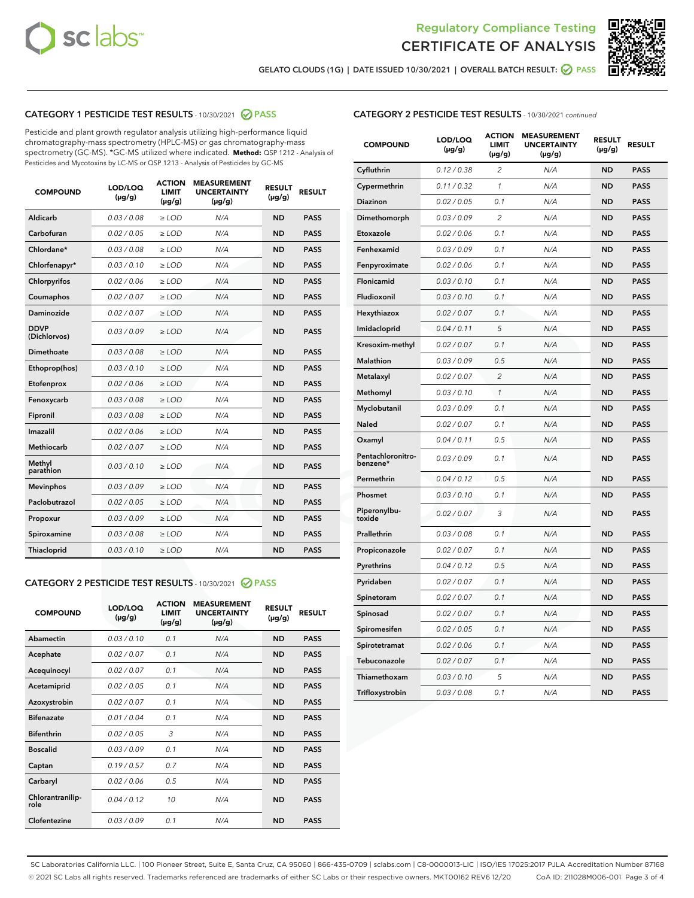



GELATO CLOUDS (1G) | DATE ISSUED 10/30/2021 | OVERALL BATCH RESULT: @ PASS

## CATEGORY 1 PESTICIDE TEST RESULTS - 10/30/2021 2 PASS

Pesticide and plant growth regulator analysis utilizing high-performance liquid chromatography-mass spectrometry (HPLC-MS) or gas chromatography-mass spectrometry (GC-MS). \*GC-MS utilized where indicated. **Method:** QSP 1212 - Analysis of Pesticides and Mycotoxins by LC-MS or QSP 1213 - Analysis of Pesticides by GC-MS

| <b>Aldicarb</b><br>0.03 / 0.08<br><b>ND</b><br>$\ge$ LOD<br>N/A<br><b>PASS</b><br>Carbofuran<br>0.02/0.05<br>$\ge$ LOD<br>N/A<br><b>ND</b><br><b>PASS</b><br>Chlordane*<br>0.03 / 0.08<br><b>ND</b><br>$>$ LOD<br>N/A<br><b>PASS</b><br>0.03/0.10<br><b>ND</b><br><b>PASS</b><br>Chlorfenapyr*<br>$\ge$ LOD<br>N/A<br>0.02 / 0.06<br>N/A<br><b>ND</b><br><b>PASS</b><br>Chlorpyrifos<br>$\ge$ LOD<br>0.02 / 0.07<br>N/A<br><b>ND</b><br><b>PASS</b><br>Coumaphos<br>$>$ LOD<br>Daminozide<br>0.02 / 0.07<br>$\ge$ LOD<br>N/A<br><b>ND</b><br><b>PASS</b><br><b>DDVP</b><br>0.03/0.09<br>$\ge$ LOD<br>N/A<br><b>ND</b><br><b>PASS</b><br>(Dichlorvos)<br>Dimethoate<br><b>ND</b><br><b>PASS</b><br>0.03 / 0.08<br>$>$ LOD<br>N/A<br>0.03/0.10<br>Ethoprop(hos)<br>$\ge$ LOD<br>N/A<br><b>ND</b><br><b>PASS</b><br>0.02 / 0.06<br>$\ge$ LOD<br>N/A<br><b>ND</b><br><b>PASS</b><br>Etofenprox<br>Fenoxycarb<br>0.03 / 0.08<br>$>$ LOD<br>N/A<br><b>ND</b><br><b>PASS</b><br>0.03 / 0.08<br><b>ND</b><br><b>PASS</b><br>Fipronil<br>$\ge$ LOD<br>N/A<br>Imazalil<br>0.02 / 0.06<br>$>$ LOD<br>N/A<br><b>ND</b><br><b>PASS</b><br>0.02 / 0.07<br>Methiocarb<br>N/A<br><b>ND</b><br>$>$ LOD<br><b>PASS</b><br>Methyl<br>0.03/0.10<br>$\ge$ LOD<br>N/A<br><b>ND</b><br><b>PASS</b><br>parathion<br>0.03/0.09<br>$\ge$ LOD<br>N/A<br><b>ND</b><br><b>PASS</b><br><b>Mevinphos</b><br>Paclobutrazol<br>0.02 / 0.05<br>$\ge$ LOD<br>N/A<br><b>ND</b><br><b>PASS</b><br>0.03/0.09<br>N/A<br>$\ge$ LOD<br><b>ND</b><br><b>PASS</b><br>Propoxur<br>0.03 / 0.08<br><b>ND</b><br><b>PASS</b><br>Spiroxamine<br>$\ge$ LOD<br>N/A<br><b>PASS</b><br>Thiacloprid<br>0.03/0.10<br>$\ge$ LOD<br>N/A<br><b>ND</b> | <b>COMPOUND</b> | LOD/LOQ<br>$(\mu g/g)$ | <b>ACTION</b><br>LIMIT<br>$(\mu g/g)$ | <b>MEASUREMENT</b><br><b>UNCERTAINTY</b><br>$(\mu g/g)$ | <b>RESULT</b><br>$(\mu g/g)$ | <b>RESULT</b> |
|----------------------------------------------------------------------------------------------------------------------------------------------------------------------------------------------------------------------------------------------------------------------------------------------------------------------------------------------------------------------------------------------------------------------------------------------------------------------------------------------------------------------------------------------------------------------------------------------------------------------------------------------------------------------------------------------------------------------------------------------------------------------------------------------------------------------------------------------------------------------------------------------------------------------------------------------------------------------------------------------------------------------------------------------------------------------------------------------------------------------------------------------------------------------------------------------------------------------------------------------------------------------------------------------------------------------------------------------------------------------------------------------------------------------------------------------------------------------------------------------------------------------------------------------------------------------------------------------------------------------------------------------------------------------------------------------|-----------------|------------------------|---------------------------------------|---------------------------------------------------------|------------------------------|---------------|
|                                                                                                                                                                                                                                                                                                                                                                                                                                                                                                                                                                                                                                                                                                                                                                                                                                                                                                                                                                                                                                                                                                                                                                                                                                                                                                                                                                                                                                                                                                                                                                                                                                                                                              |                 |                        |                                       |                                                         |                              |               |
|                                                                                                                                                                                                                                                                                                                                                                                                                                                                                                                                                                                                                                                                                                                                                                                                                                                                                                                                                                                                                                                                                                                                                                                                                                                                                                                                                                                                                                                                                                                                                                                                                                                                                              |                 |                        |                                       |                                                         |                              |               |
|                                                                                                                                                                                                                                                                                                                                                                                                                                                                                                                                                                                                                                                                                                                                                                                                                                                                                                                                                                                                                                                                                                                                                                                                                                                                                                                                                                                                                                                                                                                                                                                                                                                                                              |                 |                        |                                       |                                                         |                              |               |
|                                                                                                                                                                                                                                                                                                                                                                                                                                                                                                                                                                                                                                                                                                                                                                                                                                                                                                                                                                                                                                                                                                                                                                                                                                                                                                                                                                                                                                                                                                                                                                                                                                                                                              |                 |                        |                                       |                                                         |                              |               |
|                                                                                                                                                                                                                                                                                                                                                                                                                                                                                                                                                                                                                                                                                                                                                                                                                                                                                                                                                                                                                                                                                                                                                                                                                                                                                                                                                                                                                                                                                                                                                                                                                                                                                              |                 |                        |                                       |                                                         |                              |               |
|                                                                                                                                                                                                                                                                                                                                                                                                                                                                                                                                                                                                                                                                                                                                                                                                                                                                                                                                                                                                                                                                                                                                                                                                                                                                                                                                                                                                                                                                                                                                                                                                                                                                                              |                 |                        |                                       |                                                         |                              |               |
|                                                                                                                                                                                                                                                                                                                                                                                                                                                                                                                                                                                                                                                                                                                                                                                                                                                                                                                                                                                                                                                                                                                                                                                                                                                                                                                                                                                                                                                                                                                                                                                                                                                                                              |                 |                        |                                       |                                                         |                              |               |
|                                                                                                                                                                                                                                                                                                                                                                                                                                                                                                                                                                                                                                                                                                                                                                                                                                                                                                                                                                                                                                                                                                                                                                                                                                                                                                                                                                                                                                                                                                                                                                                                                                                                                              |                 |                        |                                       |                                                         |                              |               |
|                                                                                                                                                                                                                                                                                                                                                                                                                                                                                                                                                                                                                                                                                                                                                                                                                                                                                                                                                                                                                                                                                                                                                                                                                                                                                                                                                                                                                                                                                                                                                                                                                                                                                              |                 |                        |                                       |                                                         |                              |               |
|                                                                                                                                                                                                                                                                                                                                                                                                                                                                                                                                                                                                                                                                                                                                                                                                                                                                                                                                                                                                                                                                                                                                                                                                                                                                                                                                                                                                                                                                                                                                                                                                                                                                                              |                 |                        |                                       |                                                         |                              |               |
|                                                                                                                                                                                                                                                                                                                                                                                                                                                                                                                                                                                                                                                                                                                                                                                                                                                                                                                                                                                                                                                                                                                                                                                                                                                                                                                                                                                                                                                                                                                                                                                                                                                                                              |                 |                        |                                       |                                                         |                              |               |
|                                                                                                                                                                                                                                                                                                                                                                                                                                                                                                                                                                                                                                                                                                                                                                                                                                                                                                                                                                                                                                                                                                                                                                                                                                                                                                                                                                                                                                                                                                                                                                                                                                                                                              |                 |                        |                                       |                                                         |                              |               |
|                                                                                                                                                                                                                                                                                                                                                                                                                                                                                                                                                                                                                                                                                                                                                                                                                                                                                                                                                                                                                                                                                                                                                                                                                                                                                                                                                                                                                                                                                                                                                                                                                                                                                              |                 |                        |                                       |                                                         |                              |               |
|                                                                                                                                                                                                                                                                                                                                                                                                                                                                                                                                                                                                                                                                                                                                                                                                                                                                                                                                                                                                                                                                                                                                                                                                                                                                                                                                                                                                                                                                                                                                                                                                                                                                                              |                 |                        |                                       |                                                         |                              |               |
|                                                                                                                                                                                                                                                                                                                                                                                                                                                                                                                                                                                                                                                                                                                                                                                                                                                                                                                                                                                                                                                                                                                                                                                                                                                                                                                                                                                                                                                                                                                                                                                                                                                                                              |                 |                        |                                       |                                                         |                              |               |
|                                                                                                                                                                                                                                                                                                                                                                                                                                                                                                                                                                                                                                                                                                                                                                                                                                                                                                                                                                                                                                                                                                                                                                                                                                                                                                                                                                                                                                                                                                                                                                                                                                                                                              |                 |                        |                                       |                                                         |                              |               |
|                                                                                                                                                                                                                                                                                                                                                                                                                                                                                                                                                                                                                                                                                                                                                                                                                                                                                                                                                                                                                                                                                                                                                                                                                                                                                                                                                                                                                                                                                                                                                                                                                                                                                              |                 |                        |                                       |                                                         |                              |               |
|                                                                                                                                                                                                                                                                                                                                                                                                                                                                                                                                                                                                                                                                                                                                                                                                                                                                                                                                                                                                                                                                                                                                                                                                                                                                                                                                                                                                                                                                                                                                                                                                                                                                                              |                 |                        |                                       |                                                         |                              |               |
|                                                                                                                                                                                                                                                                                                                                                                                                                                                                                                                                                                                                                                                                                                                                                                                                                                                                                                                                                                                                                                                                                                                                                                                                                                                                                                                                                                                                                                                                                                                                                                                                                                                                                              |                 |                        |                                       |                                                         |                              |               |
|                                                                                                                                                                                                                                                                                                                                                                                                                                                                                                                                                                                                                                                                                                                                                                                                                                                                                                                                                                                                                                                                                                                                                                                                                                                                                                                                                                                                                                                                                                                                                                                                                                                                                              |                 |                        |                                       |                                                         |                              |               |
|                                                                                                                                                                                                                                                                                                                                                                                                                                                                                                                                                                                                                                                                                                                                                                                                                                                                                                                                                                                                                                                                                                                                                                                                                                                                                                                                                                                                                                                                                                                                                                                                                                                                                              |                 |                        |                                       |                                                         |                              |               |

#### CATEGORY 2 PESTICIDE TEST RESULTS - 10/30/2021 @ PASS

| <b>COMPOUND</b>          | LOD/LOO<br>$(\mu g/g)$ | <b>ACTION</b><br>LIMIT<br>$(\mu g/g)$ | <b>MEASUREMENT</b><br><b>UNCERTAINTY</b><br>$(\mu g/g)$ | <b>RESULT</b><br>$(\mu g/g)$ | <b>RESULT</b> |  |
|--------------------------|------------------------|---------------------------------------|---------------------------------------------------------|------------------------------|---------------|--|
| Abamectin                | 0.03/0.10              | 0.1                                   | N/A                                                     | <b>ND</b>                    | <b>PASS</b>   |  |
| Acephate                 | 0.02/0.07              | 0.1                                   | N/A                                                     | <b>ND</b>                    | <b>PASS</b>   |  |
| Acequinocyl              | 0.02/0.07              | 0.1                                   | N/A                                                     | <b>ND</b>                    | <b>PASS</b>   |  |
| Acetamiprid              | 0.02 / 0.05            | 0.1                                   | N/A                                                     | <b>ND</b>                    | <b>PASS</b>   |  |
| Azoxystrobin             | 0.02/0.07              | 0.1                                   | N/A                                                     | <b>ND</b>                    | <b>PASS</b>   |  |
| <b>Bifenazate</b>        | 0.01 / 0.04            | 0.1                                   | N/A                                                     | <b>ND</b>                    | <b>PASS</b>   |  |
| <b>Bifenthrin</b>        | 0.02 / 0.05            | 3                                     | N/A                                                     | <b>ND</b>                    | <b>PASS</b>   |  |
| <b>Boscalid</b>          | 0.03/0.09              | 0.1                                   | N/A                                                     | <b>ND</b>                    | <b>PASS</b>   |  |
| Captan                   | 0.19/0.57              | 0.7                                   | N/A                                                     | <b>ND</b>                    | <b>PASS</b>   |  |
| Carbaryl                 | 0.02/0.06              | 0.5                                   | N/A                                                     | <b>ND</b>                    | <b>PASS</b>   |  |
| Chlorantranilip-<br>role | 0.04/0.12              | 10                                    | N/A                                                     | <b>ND</b>                    | <b>PASS</b>   |  |
| Clofentezine             | 0.03/0.09              | 0.1                                   | N/A                                                     | <b>ND</b>                    | <b>PASS</b>   |  |

| <b>COMPOUND</b>               | LOD/LOQ<br>(µg/g) | <b>ACTION</b><br><b>LIMIT</b><br>(µg/g) | <b>MEASUREMENT</b><br><b>UNCERTAINTY</b><br>$(\mu g/g)$ | <b>RESULT</b><br>(µg/g) | <b>RESULT</b> |
|-------------------------------|-------------------|-----------------------------------------|---------------------------------------------------------|-------------------------|---------------|
| Cyfluthrin                    | 0.12 / 0.38       | $\overline{c}$                          | N/A                                                     | <b>ND</b>               | <b>PASS</b>   |
| Cypermethrin                  | 0.11 / 0.32       | 1                                       | N/A                                                     | <b>ND</b>               | <b>PASS</b>   |
| <b>Diazinon</b>               | 0.02 / 0.05       | 0.1                                     | N/A                                                     | <b>ND</b>               | <b>PASS</b>   |
| Dimethomorph                  | 0.03 / 0.09       | 2                                       | N/A                                                     | <b>ND</b>               | <b>PASS</b>   |
| Etoxazole                     | 0.02 / 0.06       | 0.1                                     | N/A                                                     | <b>ND</b>               | <b>PASS</b>   |
| Fenhexamid                    | 0.03 / 0.09       | 0.1                                     | N/A                                                     | <b>ND</b>               | <b>PASS</b>   |
| Fenpyroximate                 | 0.02 / 0.06       | 0.1                                     | N/A                                                     | <b>ND</b>               | <b>PASS</b>   |
| Flonicamid                    | 0.03 / 0.10       | 0.1                                     | N/A                                                     | <b>ND</b>               | <b>PASS</b>   |
| Fludioxonil                   | 0.03 / 0.10       | 0.1                                     | N/A                                                     | <b>ND</b>               | <b>PASS</b>   |
| Hexythiazox                   | 0.02 / 0.07       | 0.1                                     | N/A                                                     | <b>ND</b>               | <b>PASS</b>   |
| Imidacloprid                  | 0.04 / 0.11       | 5                                       | N/A                                                     | <b>ND</b>               | <b>PASS</b>   |
| Kresoxim-methyl               | 0.02 / 0.07       | 0.1                                     | N/A                                                     | <b>ND</b>               | <b>PASS</b>   |
| Malathion                     | 0.03 / 0.09       | 0.5                                     | N/A                                                     | <b>ND</b>               | <b>PASS</b>   |
| Metalaxyl                     | 0.02 / 0.07       | $\overline{c}$                          | N/A                                                     | <b>ND</b>               | <b>PASS</b>   |
| Methomyl                      | 0.03 / 0.10       | $\mathcal{I}$                           | N/A                                                     | <b>ND</b>               | <b>PASS</b>   |
| Myclobutanil                  | 0.03 / 0.09       | 0.1                                     | N/A                                                     | <b>ND</b>               | <b>PASS</b>   |
| <b>Naled</b>                  | 0.02 / 0.07       | 0.1                                     | N/A                                                     | <b>ND</b>               | <b>PASS</b>   |
| Oxamyl                        | 0.04 / 0.11       | 0.5                                     | N/A                                                     | <b>ND</b>               | <b>PASS</b>   |
| Pentachloronitro-<br>benzene* | 0.03/0.09         | 0.1                                     | N/A                                                     | <b>ND</b>               | <b>PASS</b>   |
| Permethrin                    | 0.04 / 0.12       | 0.5                                     | N/A                                                     | <b>ND</b>               | <b>PASS</b>   |
| Phosmet                       | 0.03 / 0.10       | 0.1                                     | N/A                                                     | <b>ND</b>               | <b>PASS</b>   |
| Piperonylbu-<br>toxide        | 0.02 / 0.07       | 3                                       | N/A                                                     | <b>ND</b>               | <b>PASS</b>   |
| Prallethrin                   | 0.03 / 0.08       | 0.1                                     | N/A                                                     | <b>ND</b>               | <b>PASS</b>   |
| Propiconazole                 | 0.02 / 0.07       | 0.1                                     | N/A                                                     | <b>ND</b>               | <b>PASS</b>   |
| Pyrethrins                    | 0.04 / 0.12       | 0.5                                     | N/A                                                     | <b>ND</b>               | <b>PASS</b>   |
| Pyridaben                     | 0.02 / 0.07       | 0.1                                     | N/A                                                     | <b>ND</b>               | <b>PASS</b>   |
| Spinetoram                    | 0.02 / 0.07       | 0.1                                     | N/A                                                     | <b>ND</b>               | <b>PASS</b>   |
| Spinosad                      | 0.02 / 0.07       | 0.1                                     | N/A                                                     | <b>ND</b>               | <b>PASS</b>   |
| Spiromesifen                  | 0.02 / 0.05       | 0.1                                     | N/A                                                     | <b>ND</b>               | <b>PASS</b>   |
| Spirotetramat                 | 0.02 / 0.06       | 0.1                                     | N/A                                                     | ND                      | <b>PASS</b>   |
| Tebuconazole                  | 0.02 / 0.07       | 0.1                                     | N/A                                                     | <b>ND</b>               | <b>PASS</b>   |
| Thiamethoxam                  | 0.03 / 0.10       | 5                                       | N/A                                                     | <b>ND</b>               | <b>PASS</b>   |
| Trifloxystrobin               | 0.03 / 0.08       | 0.1                                     | N/A                                                     | <b>ND</b>               | <b>PASS</b>   |

SC Laboratories California LLC. | 100 Pioneer Street, Suite E, Santa Cruz, CA 95060 | 866-435-0709 | sclabs.com | C8-0000013-LIC | ISO/IES 17025:2017 PJLA Accreditation Number 87168 © 2021 SC Labs all rights reserved. Trademarks referenced are trademarks of either SC Labs or their respective owners. MKT00162 REV6 12/20 CoA ID: 211028M006-001 Page 3 of 4